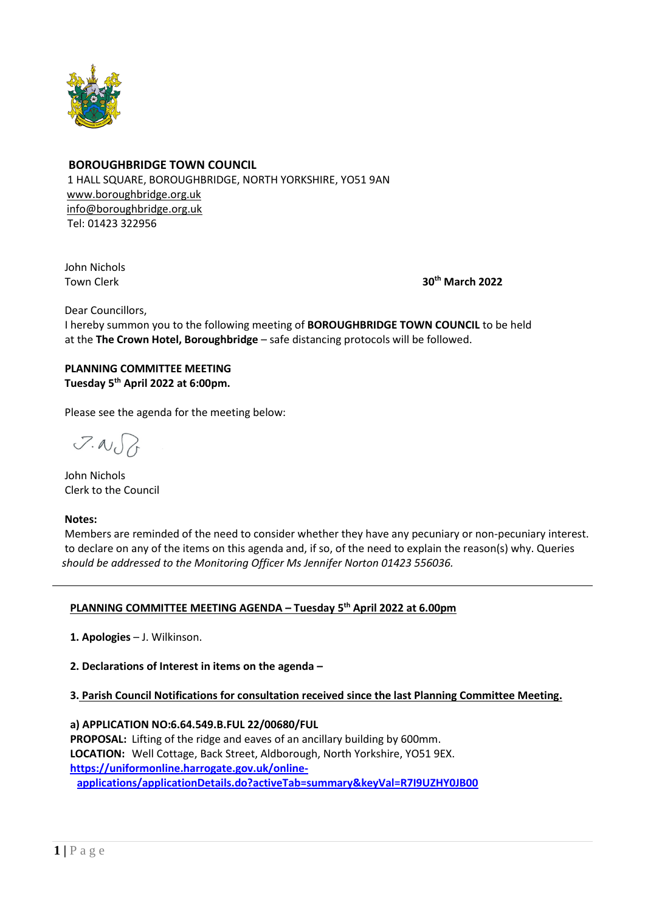

## **BOROUGHBRIDGE TOWN COUNCIL**

 1 HALL SQUARE, BOROUGHBRIDGE, NORTH YORKSHIRE, YO51 9AN [www.boroughbridge.org.uk](http://www.boroughbridge.org.uk/) [info@boroughbridge.org.uk](mailto:info@boroughbridge.org.uk) Tel: 01423 322956

John Nichols

Town Clerk **30th March 2022**

Dear Councillors,

 I hereby summon you to the following meeting of **BOROUGHBRIDGE TOWN COUNCIL** to be held at the **The Crown Hotel, Boroughbridge** – safe distancing protocols will be followed.

 **PLANNING COMMITTEE MEETING Tuesday 5 th April 2022 at 6:00pm.**

Please see the agenda for the meeting below:

 $7.007$ 

 John Nichols Clerk to the Council

 **Notes:**

 Members are reminded of the need to consider whether they have any pecuniary or non-pecuniary interest. to declare on any of the items on this agenda and, if so, of the need to explain the reason(s) why. Queries  *should be addressed to the Monitoring Officer Ms Jennifer Norton 01423 556036.* 

## **PLANNING COMMITTEE MEETING AGENDA – Tuesday 5 th April 2022 at 6.00pm**

 **1. Apologies** – J. Wilkinson.

 **2. Declarations of Interest in items on the agenda –**

## **3. Parish Council Notifications for consultation received since the last Planning Committee Meeting.**

 **a) APPLICATION NO:6.64.549.B.FUL 22/00680/FUL**

 **PROPOSAL:** Lifting of the ridge and eaves of an ancillary building by 600mm.  **LOCATION:** Well Cottage, Back Street, Aldborough, North Yorkshire, YO51 9EX.  **[https://uniformonline.harrogate.gov.uk/online](https://uniformonline.harrogate.gov.uk/online-applications/applicationDetails.do?activeTab=summary&keyVal=R7I9UZHY0JB00)[applications/applicationDetails.do?activeTab=summary&keyVal=R7I9UZHY0JB00](https://uniformonline.harrogate.gov.uk/online-applications/applicationDetails.do?activeTab=summary&keyVal=R7I9UZHY0JB00)**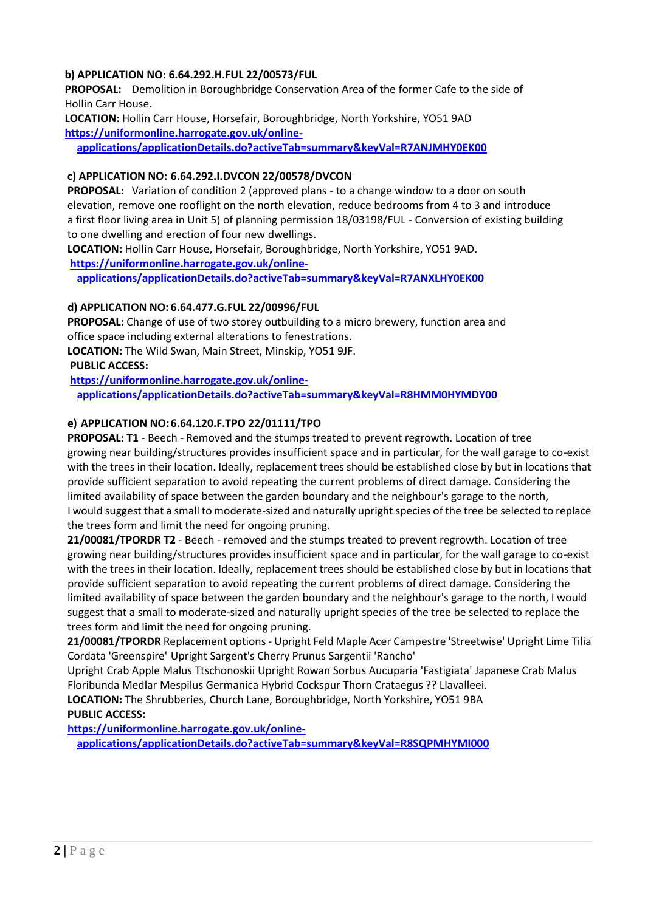# **b) APPLICATION NO: 6.64.292.H.FUL 22/00573/FUL**

 **PROPOSAL:** Demolition in Boroughbridge Conservation Area of the former Cafe to the side of Hollin Carr House.

 **LOCATION:** Hollin Carr House, Horsefair, Boroughbridge, North Yorkshire, YO51 9AD  **[https://uniformonline.harrogate.gov.uk/online-](https://uniformonline.harrogate.gov.uk/online-applications/applicationDetails.do?activeTab=summary&keyVal=R7ANJMHY0EK00)**

**[applications/applicationDetails.do?activeTab=summary&keyVal=R7ANJMHY0EK00](https://uniformonline.harrogate.gov.uk/online-applications/applicationDetails.do?activeTab=summary&keyVal=R7ANJMHY0EK00)**

## **c) APPLICATION NO: 6.64.292.I.DVCON 22/00578/DVCON**

 **PROPOSAL:** Variation of condition 2 (approved plans - to a change window to a door on south elevation, remove one rooflight on the north elevation, reduce bedrooms from 4 to 3 and introduce a first floor living area in Unit 5) of planning permission 18/03198/FUL - Conversion of existing building to one dwelling and erection of four new dwellings.

 **LOCATION:** Hollin Carr House, Horsefair, Boroughbridge, North Yorkshire, YO51 9AD.  **[https://uniformonline.harrogate.gov.uk/online-](https://uniformonline.harrogate.gov.uk/online-applications/applicationDetails.do?activeTab=summary&keyVal=R7ANXLHY0EK00)**

**[applications/applicationDetails.do?activeTab=summary&keyVal=R7ANXLHY0EK00](https://uniformonline.harrogate.gov.uk/online-applications/applicationDetails.do?activeTab=summary&keyVal=R7ANXLHY0EK00)**

# **d) APPLICATION NO: 6.64.477.G.FUL 22/00996/FUL**

 **PROPOSAL:** Change of use of two storey outbuilding to a micro brewery, function area and office space including external alterations to fenestrations.  **LOCATION:** The Wild Swan, Main Street, Minskip, YO51 9JF.  **PUBLIC ACCESS:**

 **[https://uniformonline.harrogate.gov.uk/online](https://uniformonline.harrogate.gov.uk/online-applications/applicationDetails.do?activeTab=summary&keyVal=R8HMM0HYMDY00)[applications/applicationDetails.do?activeTab=summary&keyVal=R8HMM0HYMDY00](https://uniformonline.harrogate.gov.uk/online-applications/applicationDetails.do?activeTab=summary&keyVal=R8HMM0HYMDY00)**

## **e) APPLICATION NO: 6.64.120.F.TPO 22/01111/TPO**

 **PROPOSAL: T1** - Beech - Removed and the stumps treated to prevent regrowth. Location of tree growing near building/structures provides insufficient space and in particular, for the wall garage to co-exist with the trees in their location. Ideally, replacement trees should be established close by but in locations that provide sufficient separation to avoid repeating the current problems of direct damage. Considering the limited availability of space between the garden boundary and the neighbour's garage to the north, I would suggest that a small to moderate-sized and naturally upright species of the tree be selected to replace the trees form and limit the need for ongoing pruning.

 **21/00081/TPORDR T2** - Beech - removed and the stumps treated to prevent regrowth. Location of tree growing near building/structures provides insufficient space and in particular, for the wall garage to co-exist with the trees in their location. Ideally, replacement trees should be established close by but in locations that provide sufficient separation to avoid repeating the current problems of direct damage. Considering the limited availability of space between the garden boundary and the neighbour's garage to the north, I would suggest that a small to moderate-sized and naturally upright species of the tree be selected to replace the trees form and limit the need for ongoing pruning.

 **21/00081/TPORDR** Replacement options - Upright Feld Maple Acer Campestre 'Streetwise' Upright Lime Tilia Cordata 'Greenspire' Upright Sargent's Cherry Prunus Sargentii 'Rancho'

 Upright Crab Apple Malus Ttschonoskii Upright Rowan Sorbus Aucuparia 'Fastigiata' Japanese Crab Malus Floribunda Medlar Mespilus Germanica Hybrid Cockspur Thorn Crataegus ?? Llavalleei.

 **LOCATION:** The Shrubberies, Church Lane, Boroughbridge, North Yorkshire, YO51 9BA  **PUBLIC ACCESS:**

 **[https://uniformonline.harrogate.gov.uk/online-](https://uniformonline.harrogate.gov.uk/online-applications/applicationDetails.do?activeTab=summary&keyVal=R8SQPMHYMI000)**

**[applications/applicationDetails.do?activeTab=summary&keyVal=R8SQPMHYMI000](https://uniformonline.harrogate.gov.uk/online-applications/applicationDetails.do?activeTab=summary&keyVal=R8SQPMHYMI000)**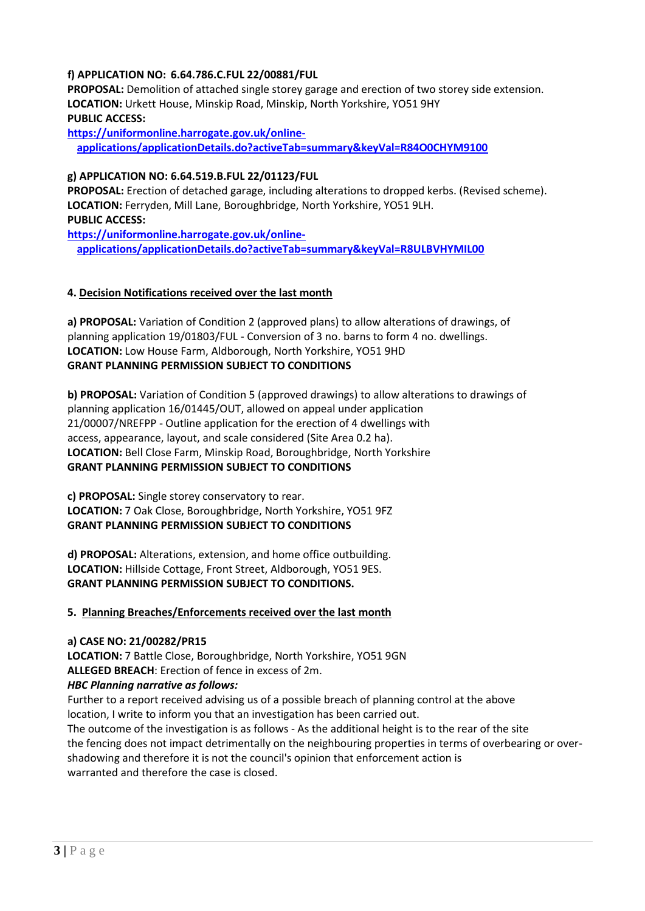# **f) APPLICATION NO: 6.64.786.C.FUL 22/00881/FUL**

 **PROPOSAL:** Demolition of attached single storey garage and erection of two storey side extension.  **LOCATION:** Urkett House, Minskip Road, Minskip, North Yorkshire, YO51 9HY  **PUBLIC ACCESS:**

 **[https://uniformonline.harrogate.gov.uk/online](https://uniformonline.harrogate.gov.uk/online-applications/applicationDetails.do?activeTab=summary&keyVal=R84O0CHYM9100)[applications/applicationDetails.do?activeTab=summary&keyVal=R84O0CHYM9100](https://uniformonline.harrogate.gov.uk/online-applications/applicationDetails.do?activeTab=summary&keyVal=R84O0CHYM9100)**

### **g) APPLICATION NO: 6.64.519.B.FUL 22/01123/FUL**

 **PROPOSAL:** Erection of detached garage, including alterations to dropped kerbs. (Revised scheme).  **LOCATION:** Ferryden, Mill Lane, Boroughbridge, North Yorkshire, YO51 9LH.  **PUBLIC ACCESS:**

 **[https://uniformonline.harrogate.gov.uk/online](https://uniformonline.harrogate.gov.uk/online-applications/applicationDetails.do?activeTab=summary&keyVal=R8ULBVHYMIL00)[applications/applicationDetails.do?activeTab=summary&keyVal=R8ULBVHYMIL00](https://uniformonline.harrogate.gov.uk/online-applications/applicationDetails.do?activeTab=summary&keyVal=R8ULBVHYMIL00)**

### **4. Decision Notifications received over the last month**

 **a) PROPOSAL:** Variation of Condition 2 (approved plans) to allow alterations of drawings, of planning application 19/01803/FUL - Conversion of 3 no. barns to form 4 no. dwellings.  **LOCATION:** Low House Farm, Aldborough, North Yorkshire, YO51 9HD  **GRANT PLANNING PERMISSION SUBJECT TO CONDITIONS**

 **b) PROPOSAL:** Variation of Condition 5 (approved drawings) to allow alterations to drawings of planning application 16/01445/OUT, allowed on appeal under application 21/00007/NREFPP - Outline application for the erection of 4 dwellings with access, appearance, layout, and scale considered (Site Area 0.2 ha).  **LOCATION:** Bell Close Farm, Minskip Road, Boroughbridge, North Yorkshire  **GRANT PLANNING PERMISSION SUBJECT TO CONDITIONS**

 **c) PROPOSAL:** Single storey conservatory to rear.  **LOCATION:** 7 Oak Close, Boroughbridge, North Yorkshire, YO51 9FZ  **GRANT PLANNING PERMISSION SUBJECT TO CONDITIONS**

 **d) PROPOSAL:** Alterations, extension, and home office outbuilding.  **LOCATION:** Hillside Cottage, Front Street, Aldborough, YO51 9ES.  **GRANT PLANNING PERMISSION SUBJECT TO CONDITIONS.**

#### **5. Planning Breaches/Enforcements received over the last month**

#### **a) CASE NO: 21/00282/PR15**

 **LOCATION:** 7 Battle Close, Boroughbridge, North Yorkshire, YO51 9GN  **ALLEGED BREACH**: Erection of fence in excess of 2m.

#### *HBC Planning narrative as follows:*

Further to a report received advising us of a possible breach of planning control at the above location, I write to inform you that an investigation has been carried out.

 The outcome of the investigation is as follows - As the additional height is to the rear of the site the fencing does not impact detrimentally on the neighbouring properties in terms of overbearing or over shadowing and therefore it is not the council's opinion that enforcement action is warranted and therefore the case is closed.